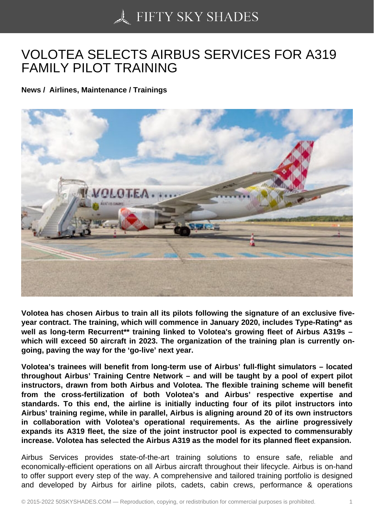## [VOLOTEA SELECTS A](https://50skyshades.com)IRBUS SERVICES FOR A319 FAMILY PILOT TRAINING

News / Airlines, Maintenance / Trainings

Volotea has chosen Airbus to train all its pilots following the signature of an exclusive fiveyear contract. The training, which will commence in January 2020, includes Type-Rating\* as well as long-term Recurrent\*\* training linked to Volotea's growing fleet of Airbus A319s which will exceed 50 aircraft in 2023. The organization of the training plan is currently ongoing, paving the way for the 'go-live' next year.

Volotea's trainees will benefit from long-term use of Airbus' full-flight simulators – located throughout Airbus' Training Centre Network – and will be taught by a pool of expert pilot instructors, drawn from both Airbus and Volotea. The flexible training scheme will benefit from the cross-fertilization of both Volotea's and Airbus' respective expertise and standards. To this end, the airline is initially inducting four of its pilot instructors into Airbus' training regime, while in parallel, Airbus is aligning around 20 of its own instructors in collaboration with Volotea's operational requirements. As the airline progressively expands its A319 fleet, the size of the joint instructor pool is expected to commensurably increase. Volotea has selected the Airbus A319 as the model for its planned fleet expansion.

Airbus Services provides state-of-the-art training solutions to ensure safe, reliable and economically-efficient operations on all Airbus aircraft throughout their lifecycle. Airbus is on-hand to offer support every step of the way. A comprehensive and tailored training portfolio is designed and developed by Airbus for airline pilots, cadets, cabin crews, performance & operations